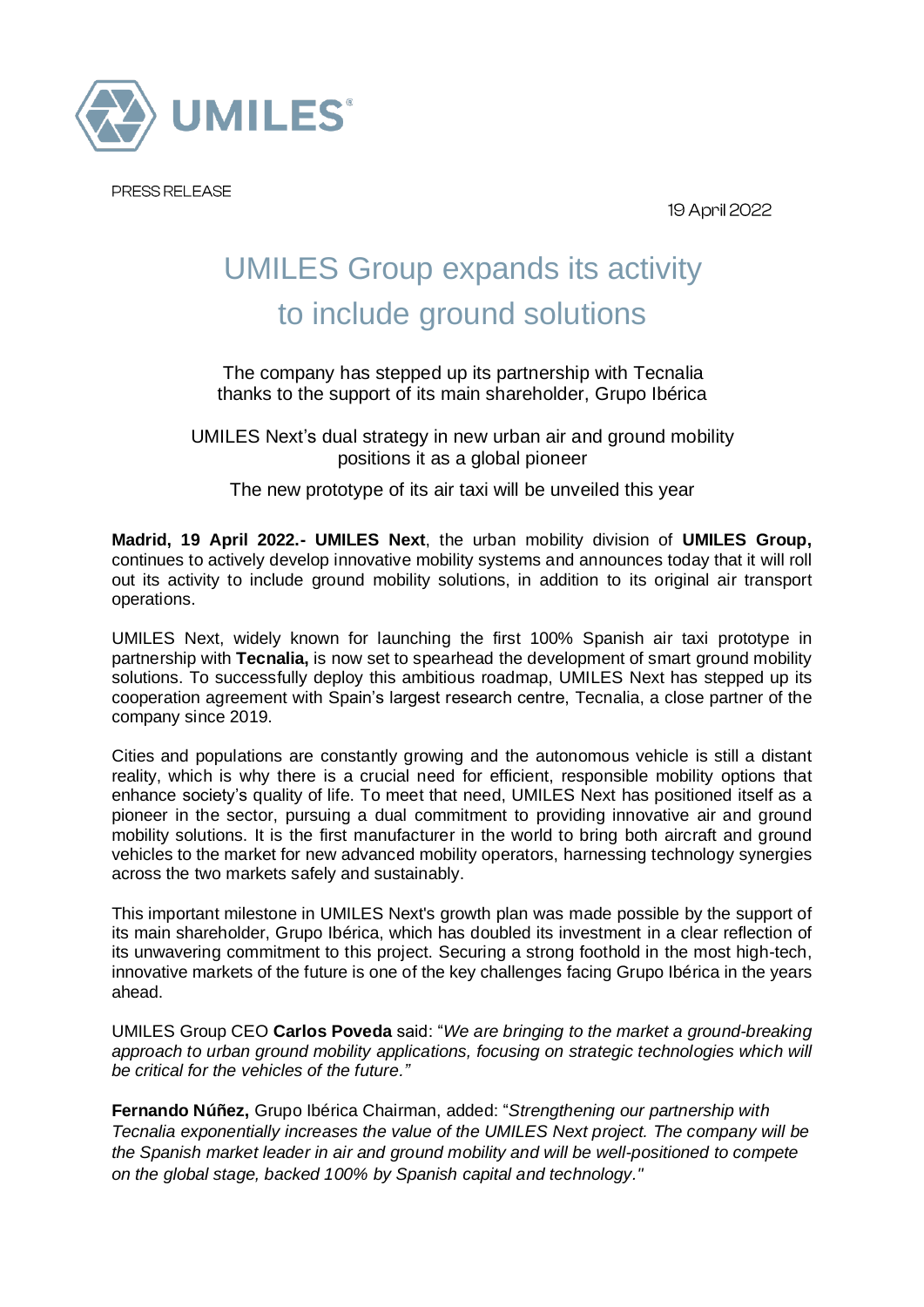

PRESS RELEASE

19 April 2022

# UMILES Group expands its activity to include ground solutions

The company has stepped up its partnership with Tecnalia thanks to the support of its main shareholder, Grupo Ibérica

UMILES Next's dual strategy in new urban air and ground mobility positions it as a global pioneer

The new prototype of its air taxi will be unveiled this year

**Madrid, 19 April 2022.- UMILES Next**, the urban mobility division of **UMILES Group,**  continues to actively develop innovative mobility systems and announces today that it will roll out its activity to include ground mobility solutions, in addition to its original air transport operations.

UMILES Next, widely known for launching the first 100% Spanish air taxi prototype in partnership with **Tecnalia,** is now set to spearhead the development of smart ground mobility solutions. To successfully deploy this ambitious roadmap, UMILES Next has stepped up its cooperation agreement with Spain's largest research centre, Tecnalia, a close partner of the company since 2019.

Cities and populations are constantly growing and the autonomous vehicle is still a distant reality, which is why there is a crucial need for efficient, responsible mobility options that enhance society's quality of life. To meet that need, UMILES Next has positioned itself as a pioneer in the sector, pursuing a dual commitment to providing innovative air and ground mobility solutions. It is the first manufacturer in the world to bring both aircraft and ground vehicles to the market for new advanced mobility operators, harnessing technology synergies across the two markets safely and sustainably.

This important milestone in UMILES Next's growth plan was made possible by the support of its main shareholder, Grupo Ibérica, which has doubled its investment in a clear reflection of its unwavering commitment to this project. Securing a strong foothold in the most high-tech, innovative markets of the future is one of the key challenges facing Grupo Ibérica in the years ahead.

UMILES Group CEO **Carlos Poveda** said: "*We are bringing to the market a ground-breaking approach to urban ground mobility applications, focusing on strategic technologies which will be critical for the vehicles of the future."*

**Fernando Núñez,** Grupo Ibérica Chairman, added: "*Strengthening our partnership with Tecnalia exponentially increases the value of the UMILES Next project. The company will be the Spanish market leader in air and ground mobility and will be well-positioned to compete on the global stage, backed 100% by Spanish capital and technology."*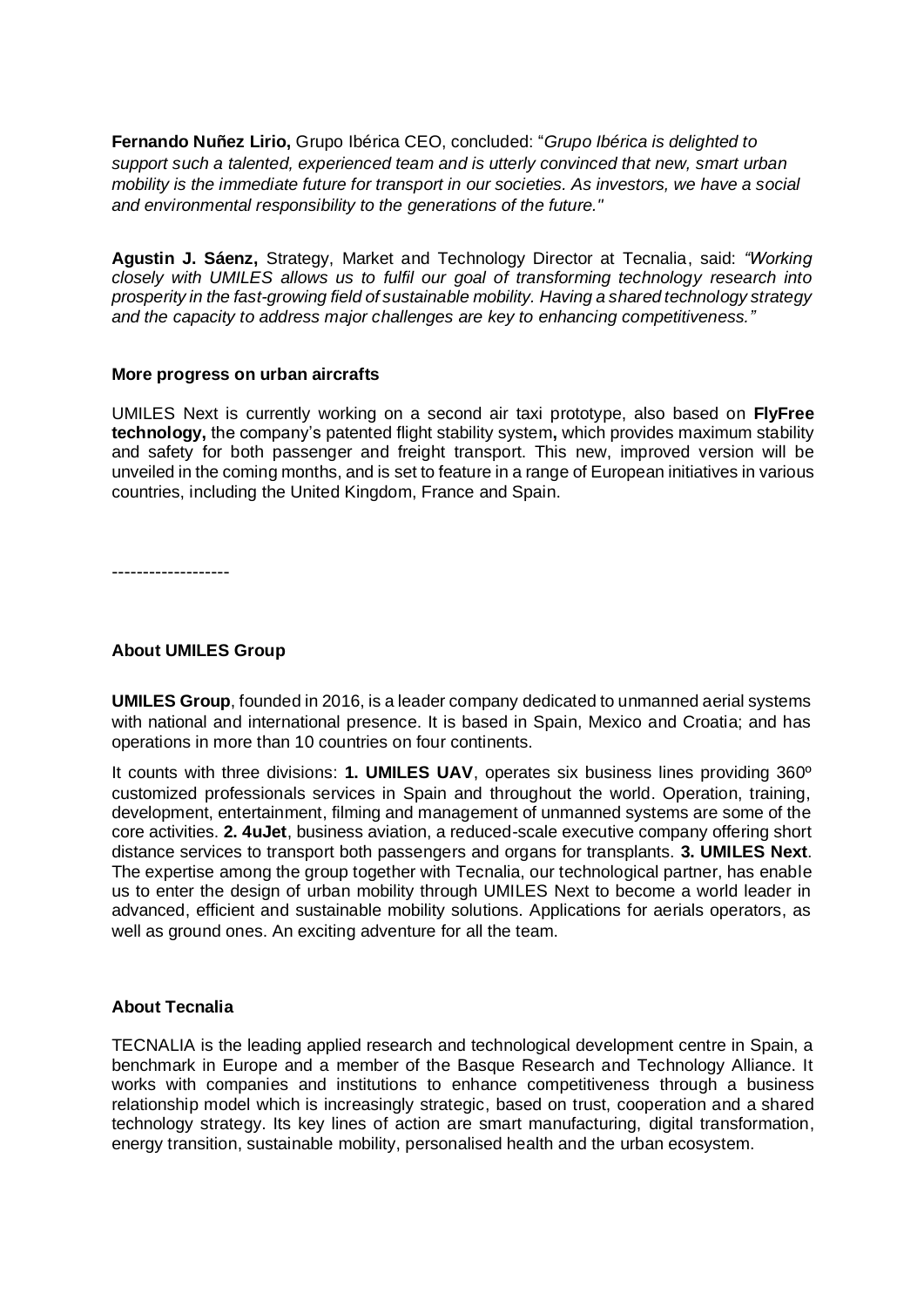**Fernando Nuñez Lirio,** Grupo Ibérica CEO, concluded: "*Grupo Ibérica is delighted to support such a talented, experienced team and is utterly convinced that new, smart urban mobility is the immediate future for transport in our societies. As investors, we have a social and environmental responsibility to the generations of the future."*

**Agustin J. Sáenz,** Strategy, Market and Technology Director at Tecnalia, said: *"Working closely with UMILES allows us to fulfil our goal of transforming technology research into prosperity in the fast-growing field of sustainable mobility. Having a shared technology strategy and the capacity to address major challenges are key to enhancing competitiveness."*

### **More progress on urban aircrafts**

UMILES Next is currently working on a second air taxi prototype, also based on **FlyFree technology,** the company's patented flight stability system**,** which provides maximum stability and safety for both passenger and freight transport. This new, improved version will be unveiled in the coming months, and is set to feature in a range of European initiatives in various countries, including the United Kingdom, France and Spain.

-------------------

## **About UMILES Group**

**UMILES Group**, founded in 2016, is a leader company dedicated to unmanned aerial systems with national and international presence. It is based in Spain, Mexico and Croatia; and has operations in more than 10 countries on four continents.

It counts with three divisions: **1. UMILES UAV**, operates six business lines providing 360º customized professionals services in Spain and throughout the world. Operation, training, development, entertainment, filming and management of unmanned systems are some of the core activities. **2. 4uJet**, business aviation, a reduced-scale executive company offering short distance services to transport both passengers and organs for transplants. **3. UMILES Next**. The expertise among the group together with Tecnalia, our technological partner, has enable us to enter the design of urban mobility through UMILES Next to become a world leader in advanced, efficient and sustainable mobility solutions. Applications for aerials operators, as well as ground ones. An exciting adventure for all the team.

# **About Tecnalia**

TECNALIA is the leading applied research and technological development centre in Spain, a benchmark in Europe and a member of the Basque Research and Technology Alliance. It works with companies and institutions to enhance competitiveness through a business relationship model which is increasingly strategic, based on trust, cooperation and a shared technology strategy. Its key lines of action are [smart manufacturing,](https://www.tecnalia.com/ambitos/fabricacion-inteligente) [digital transformation,](https://www.tecnalia.com/ambitos/transformacion-digital) [energy transition,](https://www.tecnalia.com/ambitos/transicion-energetica) [sustainable mobility,](https://www.tecnalia.com/ambitos/movilidad-sostenible) [personalised health](https://www.tecnalia.com/ambitos/salud-personalizada) and the [urban ecosystem.](https://www.tecnalia.com/ambitos/ecosistema-urbano)